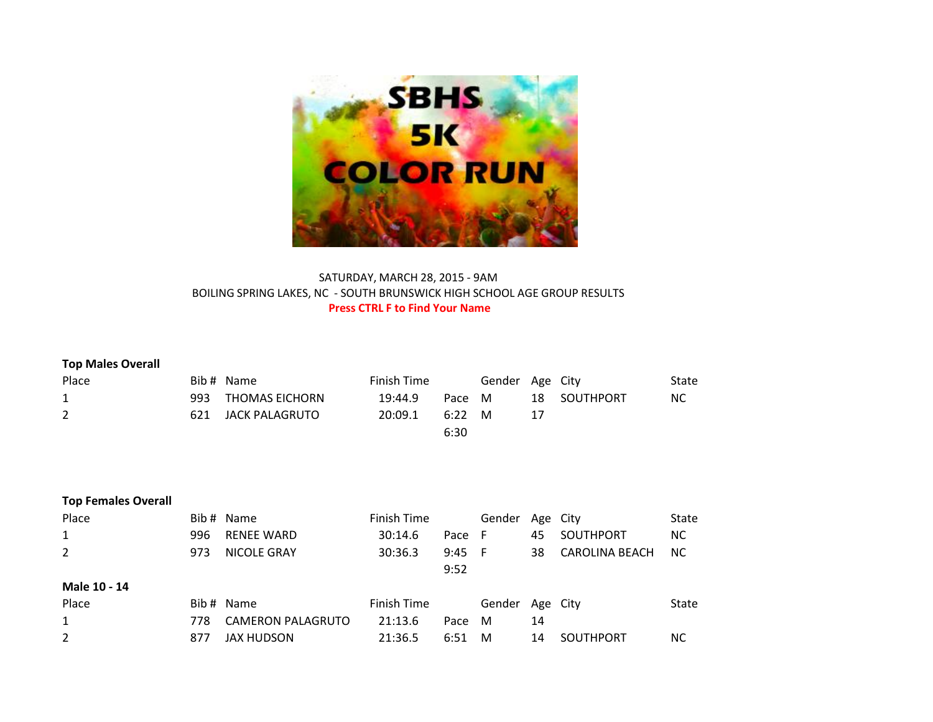

## SATURDAY, MARCH 28, 2015 - 9AM BOILING SPRING LAKES, NC - SOUTH BRUNSWICK HIGH SCHOOL AGE GROUP RESULTS **Press CTRL F to Find Your Name**

| <b>Top Males Overall</b><br>Place<br>$\mathbf{1}$<br>$\overline{2}$ | 993<br>621 | Bib # Name<br><b>THOMAS EICHORN</b><br><b>JACK PALAGRUTO</b> | Finish Time<br>19:44.9<br>20:09.1 | Pace<br>6:22<br>6:30 | Gender<br>M<br>M | 18<br>17 | Age City<br><b>SOUTHPORT</b> | State<br>NC. |
|---------------------------------------------------------------------|------------|--------------------------------------------------------------|-----------------------------------|----------------------|------------------|----------|------------------------------|--------------|
| <b>Top Females Overall</b>                                          |            |                                                              |                                   |                      |                  |          |                              |              |
| Place                                                               |            | Bib # Name                                                   | Finish Time                       |                      | Gender           | Age      | City                         | State        |
| 1                                                                   | 996        | <b>RENEE WARD</b>                                            | 30:14.6                           | Pace                 | F                | 45       | <b>SOUTHPORT</b>             | NC.          |
| 2                                                                   | 973        | <b>NICOLE GRAY</b>                                           | 30:36.3                           | 9:45                 | - F              | 38       | <b>CAROLINA BEACH</b>        | NC.          |
|                                                                     |            |                                                              |                                   | 9:52                 |                  |          |                              |              |
| Male 10 - 14                                                        |            |                                                              |                                   |                      |                  |          |                              |              |
| Place                                                               |            | Bib # Name                                                   | Finish Time                       |                      | Gender           |          | Age City                     | State        |
| 1                                                                   | 778        | <b>CAMERON PALAGRUTO</b>                                     | 21:13.6                           | Pace                 | M                | 14       |                              |              |
| $\overline{2}$                                                      | 877        | JAX HUDSON                                                   | 21:36.5                           | 6:51                 | M                | 14       | <b>SOUTHPORT</b>             | NC.          |
|                                                                     |            |                                                              |                                   |                      |                  |          |                              |              |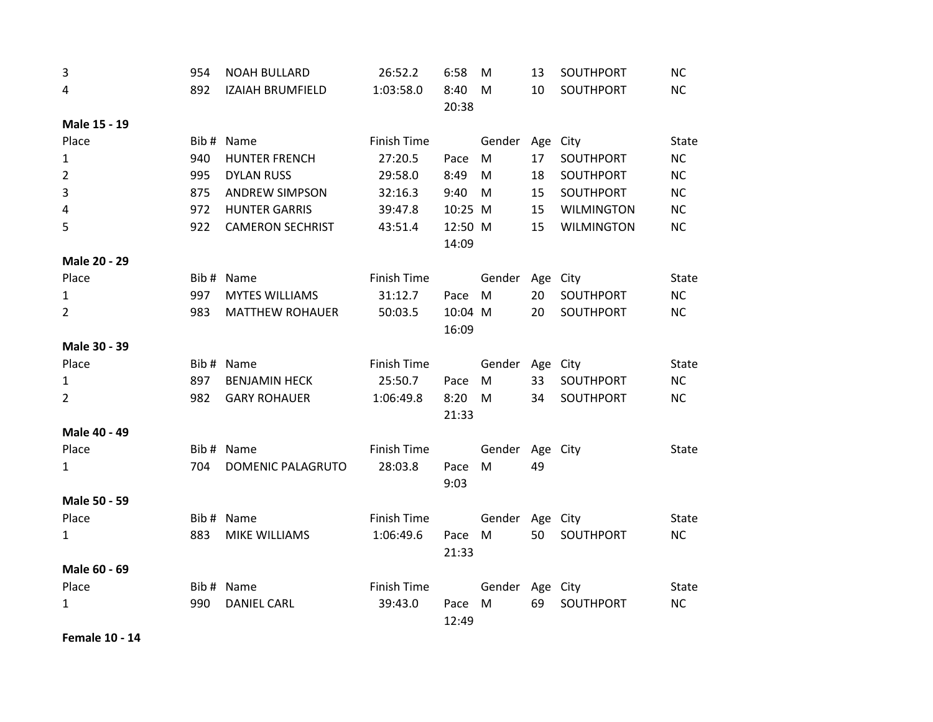| 3              | 954 | <b>NOAH BULLARD</b>      | 26:52.2            | 6:58             | M               | 13 | SOUTHPORT         | <b>NC</b> |
|----------------|-----|--------------------------|--------------------|------------------|-----------------|----|-------------------|-----------|
| 4              | 892 | <b>IZAIAH BRUMFIELD</b>  | 1:03:58.0          | 8:40<br>20:38    | M               | 10 | SOUTHPORT         | NC        |
| Male 15 - 19   |     |                          |                    |                  |                 |    |                   |           |
| Place          |     | Bib # Name               | <b>Finish Time</b> |                  | Gender          |    | Age City          | State     |
| $\mathbf{1}$   | 940 | <b>HUNTER FRENCH</b>     | 27:20.5            | Pace             | M               | 17 | SOUTHPORT         | NC        |
| $\overline{2}$ | 995 | <b>DYLAN RUSS</b>        | 29:58.0            | 8:49             | M               | 18 | SOUTHPORT         | NC        |
| $\overline{3}$ | 875 | <b>ANDREW SIMPSON</b>    | 32:16.3            | 9:40             | ${\sf M}$       | 15 | SOUTHPORT         | NC        |
| $\sqrt{4}$     | 972 | <b>HUNTER GARRIS</b>     | 39:47.8            | 10:25 M          |                 | 15 | <b>WILMINGTON</b> | NC        |
| 5              | 922 | <b>CAMERON SECHRIST</b>  | 43:51.4            | 12:50 M<br>14:09 |                 | 15 | <b>WILMINGTON</b> | NC        |
| Male 20 - 29   |     |                          |                    |                  |                 |    |                   |           |
| Place          |     | Bib # Name               | Finish Time        |                  | Gender Age City |    |                   | State     |
| $\mathbf{1}$   | 997 | <b>MYTES WILLIAMS</b>    | 31:12.7            | Pace             | M               | 20 | SOUTHPORT         | NC        |
| $\overline{2}$ | 983 | <b>MATTHEW ROHAUER</b>   | 50:03.5            | 10:04 M<br>16:09 |                 | 20 | SOUTHPORT         | NC        |
| Male 30 - 39   |     |                          |                    |                  |                 |    |                   |           |
| Place          |     | Bib # Name               | Finish Time        |                  | Gender Age City |    |                   | State     |
| $\mathbf{1}$   | 897 | <b>BENJAMIN HECK</b>     | 25:50.7            | Pace             | M               | 33 | SOUTHPORT         | NC        |
| $\overline{2}$ | 982 | <b>GARY ROHAUER</b>      | 1:06:49.8          | 8:20<br>21:33    | M               | 34 | SOUTHPORT         | NC        |
| Male 40 - 49   |     |                          |                    |                  |                 |    |                   |           |
| Place          |     | Bib # Name               | Finish Time        |                  | Gender Age City |    |                   | State     |
| $\mathbf{1}$   | 704 | <b>DOMENIC PALAGRUTO</b> | 28:03.8            | Pace<br>9:03     | M               | 49 |                   |           |
| Male 50 - 59   |     |                          |                    |                  |                 |    |                   |           |
| Place          |     | Bib # Name               | Finish Time        |                  | Gender Age City |    |                   | State     |
| 1              | 883 | MIKE WILLIAMS            | 1:06:49.6          | Pace M<br>21:33  |                 | 50 | SOUTHPORT         | NC        |
| Male 60 - 69   |     |                          |                    |                  |                 |    |                   |           |
| Place          |     | Bib # Name               | Finish Time        |                  | Gender Age City |    |                   | State     |
| 1              | 990 | <b>DANIEL CARL</b>       | 39:43.0            | Pace<br>12:49    | M               | 69 | SOUTHPORT         | NC        |

**Female 10 - 14**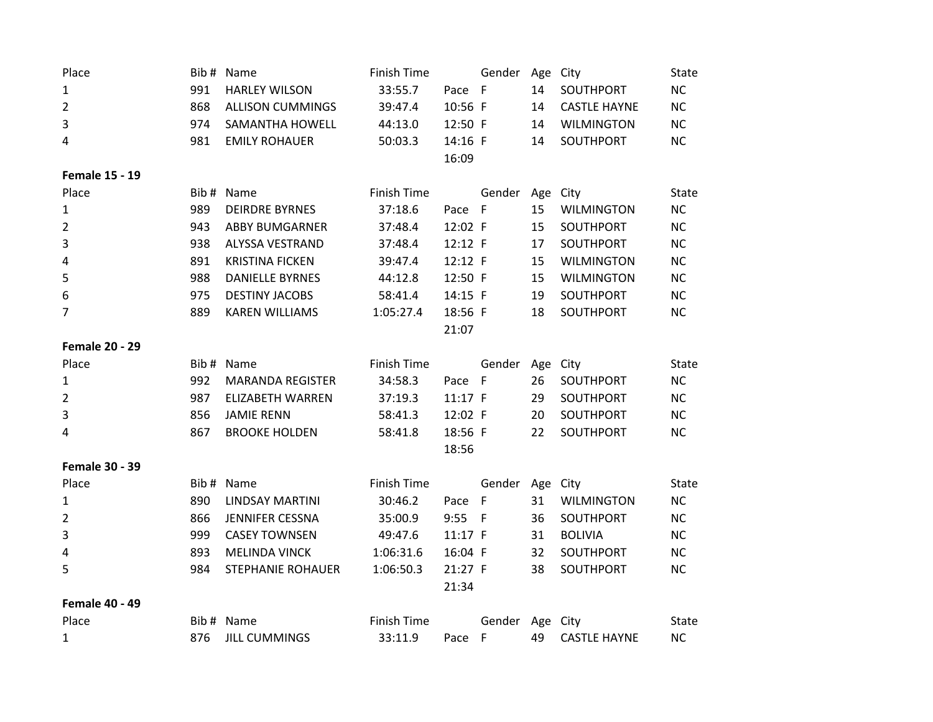| Place<br>$\mathbf{1}$<br>$\overline{2}$<br>3<br>4<br><b>Female 15 - 19</b> | 991<br>868<br>974<br>981 | Bib # Name<br><b>HARLEY WILSON</b><br><b>ALLISON CUMMINGS</b><br><b>SAMANTHA HOWELL</b><br><b>EMILY ROHAUER</b> | <b>Finish Time</b><br>33:55.7<br>39:47.4<br>44:13.0<br>50:03.3 | Pace F<br>10:56 F<br>12:50 F<br>14:16 F<br>16:09 | Gender       | Age City<br>14<br>14<br>14<br>14 | SOUTHPORT<br><b>CASTLE HAYNE</b><br><b>WILMINGTON</b><br>SOUTHPORT | State<br>NC<br><b>NC</b><br><b>NC</b><br><b>NC</b> |
|----------------------------------------------------------------------------|--------------------------|-----------------------------------------------------------------------------------------------------------------|----------------------------------------------------------------|--------------------------------------------------|--------------|----------------------------------|--------------------------------------------------------------------|----------------------------------------------------|
| Place                                                                      | Bib#                     | Name                                                                                                            | <b>Finish Time</b>                                             |                                                  | Gender       | Age City                         |                                                                    | State                                              |
| $\mathbf{1}$                                                               | 989                      | <b>DEIRDRE BYRNES</b>                                                                                           | 37:18.6                                                        | Pace F                                           |              | 15                               | <b>WILMINGTON</b>                                                  | <b>NC</b>                                          |
| $\overline{2}$                                                             | 943                      | <b>ABBY BUMGARNER</b>                                                                                           | 37:48.4                                                        | 12:02 F                                          |              | 15                               | SOUTHPORT                                                          | <b>NC</b>                                          |
| 3                                                                          | 938                      | <b>ALYSSA VESTRAND</b>                                                                                          | 37:48.4                                                        | 12:12 F                                          |              | 17                               | SOUTHPORT                                                          | <b>NC</b>                                          |
| 4                                                                          | 891                      | <b>KRISTINA FICKEN</b>                                                                                          | 39:47.4                                                        | 12:12 F                                          |              | 15                               | <b>WILMINGTON</b>                                                  | <b>NC</b>                                          |
| 5                                                                          | 988                      | <b>DANIELLE BYRNES</b>                                                                                          | 44:12.8                                                        | 12:50 F                                          |              | 15                               | <b>WILMINGTON</b>                                                  | NC                                                 |
| 6                                                                          | 975                      | <b>DESTINY JACOBS</b>                                                                                           | 58:41.4                                                        | 14:15 F                                          |              | 19                               | SOUTHPORT                                                          | <b>NC</b>                                          |
| 7                                                                          | 889                      | <b>KAREN WILLIAMS</b>                                                                                           | 1:05:27.4                                                      | 18:56 F                                          |              | 18                               | SOUTHPORT                                                          | <b>NC</b>                                          |
|                                                                            |                          |                                                                                                                 |                                                                | 21:07                                            |              |                                  |                                                                    |                                                    |
| <b>Female 20 - 29</b>                                                      |                          |                                                                                                                 |                                                                |                                                  |              |                                  |                                                                    |                                                    |
| Place                                                                      | Bib#                     | Name                                                                                                            | <b>Finish Time</b>                                             |                                                  | Gender       | Age City                         |                                                                    | <b>State</b>                                       |
| 1                                                                          | 992                      | <b>MARANDA REGISTER</b>                                                                                         | 34:58.3                                                        | Pace                                             | F            | 26                               | SOUTHPORT                                                          | <b>NC</b>                                          |
| $\overline{2}$                                                             | 987                      | <b>ELIZABETH WARREN</b>                                                                                         | 37:19.3                                                        | 11:17 F                                          |              | 29                               | SOUTHPORT                                                          | NC                                                 |
| 3                                                                          | 856                      | <b>JAMIE RENN</b>                                                                                               | 58:41.3                                                        | 12:02 F                                          |              | 20                               | SOUTHPORT                                                          | <b>NC</b>                                          |
| 4                                                                          | 867                      | <b>BROOKE HOLDEN</b>                                                                                            | 58:41.8                                                        | 18:56 F                                          |              | 22                               | SOUTHPORT                                                          | <b>NC</b>                                          |
|                                                                            |                          |                                                                                                                 |                                                                | 18:56                                            |              |                                  |                                                                    |                                                    |
| <b>Female 30 - 39</b>                                                      |                          |                                                                                                                 |                                                                |                                                  |              |                                  |                                                                    |                                                    |
| Place                                                                      |                          | Bib # Name                                                                                                      | <b>Finish Time</b>                                             |                                                  | Gender       | Age City                         |                                                                    | <b>State</b>                                       |
| 1                                                                          | 890                      | LINDSAY MARTINI                                                                                                 | 30:46.2                                                        | Pace                                             | $\mathsf{F}$ | 31                               | <b>WILMINGTON</b>                                                  | <b>NC</b>                                          |
| 2                                                                          | 866                      | <b>JENNIFER CESSNA</b>                                                                                          | 35:00.9                                                        | 9:55                                             | F            | 36                               | SOUTHPORT                                                          | <b>NC</b>                                          |
| 3                                                                          | 999                      | <b>CASEY TOWNSEN</b>                                                                                            | 49:47.6                                                        | 11:17 F                                          |              | 31                               | <b>BOLIVIA</b>                                                     | <b>NC</b>                                          |
| 4                                                                          | 893                      | <b>MELINDA VINCK</b>                                                                                            | 1:06:31.6                                                      | 16:04 F                                          |              | 32                               | SOUTHPORT                                                          | <b>NC</b>                                          |
| 5                                                                          | 984                      | <b>STEPHANIE ROHAUER</b>                                                                                        | 1:06:50.3                                                      | 21:27 F                                          |              | 38                               | SOUTHPORT                                                          | <b>NC</b>                                          |
|                                                                            |                          |                                                                                                                 |                                                                | 21:34                                            |              |                                  |                                                                    |                                                    |
| <b>Female 40 - 49</b>                                                      |                          |                                                                                                                 |                                                                |                                                  |              |                                  |                                                                    |                                                    |
| Place                                                                      |                          | Bib # Name                                                                                                      | <b>Finish Time</b>                                             |                                                  | Gender       | Age City                         |                                                                    | State                                              |
| $\mathbf{1}$                                                               | 876                      | <b>JILL CUMMINGS</b>                                                                                            | 33:11.9                                                        | Pace F                                           |              | 49                               | <b>CASTLE HAYNE</b>                                                | <b>NC</b>                                          |